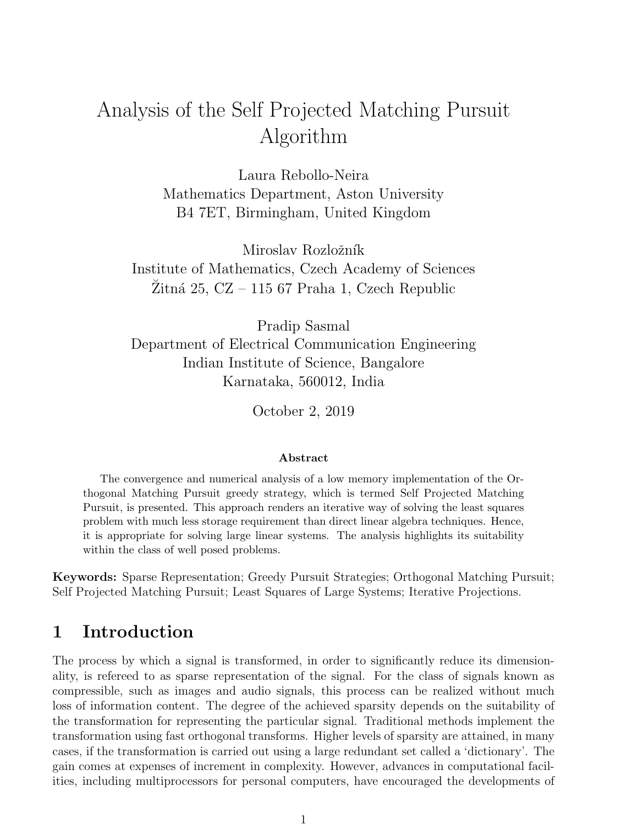# Analysis of the Self Projected Matching Pursuit Algorithm

Laura Rebollo-Neira Mathematics Department, Aston University B4 7ET, Birmingham, United Kingdom

Miroslav Rozložník Institute of Mathematics, Czech Academy of Sciences  $\tilde{Z}$ itná 25, CZ – 115 67 Praha 1, Czech Republic

Pradip Sasmal Department of Electrical Communication Engineering Indian Institute of Science, Bangalore Karnataka, 560012, India

October 2, 2019

#### Abstract

The convergence and numerical analysis of a low memory implementation of the Orthogonal Matching Pursuit greedy strategy, which is termed Self Projected Matching Pursuit, is presented. This approach renders an iterative way of solving the least squares problem with much less storage requirement than direct linear algebra techniques. Hence, it is appropriate for solving large linear systems. The analysis highlights its suitability within the class of well posed problems.

Keywords: Sparse Representation; Greedy Pursuit Strategies; Orthogonal Matching Pursuit; Self Projected Matching Pursuit; Least Squares of Large Systems; Iterative Projections.

### 1 Introduction

The process by which a signal is transformed, in order to significantly reduce its dimensionality, is refereed to as sparse representation of the signal. For the class of signals known as compressible, such as images and audio signals, this process can be realized without much loss of information content. The degree of the achieved sparsity depends on the suitability of the transformation for representing the particular signal. Traditional methods implement the transformation using fast orthogonal transforms. Higher levels of sparsity are attained, in many cases, if the transformation is carried out using a large redundant set called a 'dictionary'. The gain comes at expenses of increment in complexity. However, advances in computational facilities, including multiprocessors for personal computers, have encouraged the developments of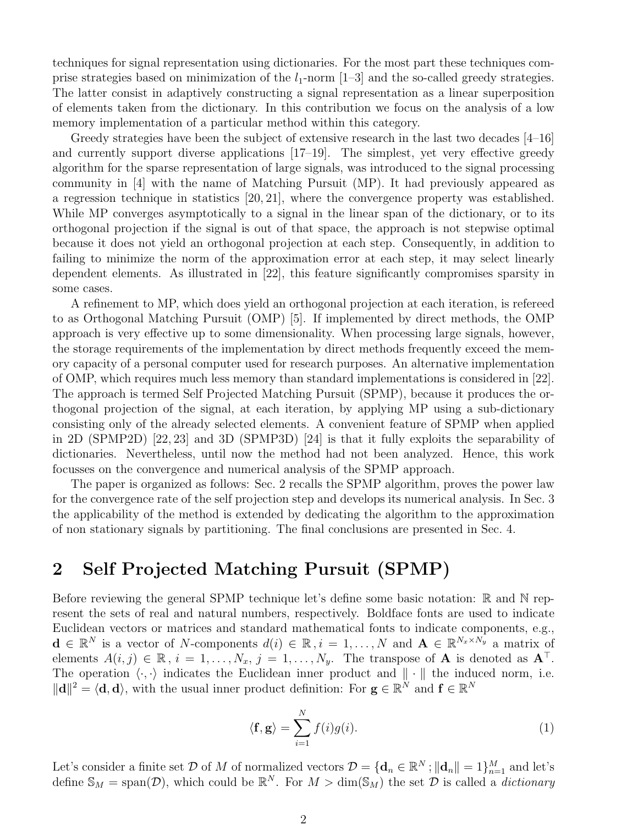techniques for signal representation using dictionaries. For the most part these techniques comprise strategies based on minimization of the  $l_1$ -norm [1–3] and the so-called greedy strategies. The latter consist in adaptively constructing a signal representation as a linear superposition of elements taken from the dictionary. In this contribution we focus on the analysis of a low memory implementation of a particular method within this category.

Greedy strategies have been the subject of extensive research in the last two decades [4–16] and currently support diverse applications [17–19]. The simplest, yet very effective greedy algorithm for the sparse representation of large signals, was introduced to the signal processing community in [4] with the name of Matching Pursuit (MP). It had previously appeared as a regression technique in statistics [20, 21], where the convergence property was established. While MP converges asymptotically to a signal in the linear span of the dictionary, or to its orthogonal projection if the signal is out of that space, the approach is not stepwise optimal because it does not yield an orthogonal projection at each step. Consequently, in addition to failing to minimize the norm of the approximation error at each step, it may select linearly dependent elements. As illustrated in [22], this feature significantly compromises sparsity in some cases.

A refinement to MP, which does yield an orthogonal projection at each iteration, is refereed to as Orthogonal Matching Pursuit (OMP) [5]. If implemented by direct methods, the OMP approach is very effective up to some dimensionality. When processing large signals, however, the storage requirements of the implementation by direct methods frequently exceed the memory capacity of a personal computer used for research purposes. An alternative implementation of OMP, which requires much less memory than standard implementations is considered in [22]. The approach is termed Self Projected Matching Pursuit (SPMP), because it produces the orthogonal projection of the signal, at each iteration, by applying MP using a sub-dictionary consisting only of the already selected elements. A convenient feature of SPMP when applied in 2D (SPMP2D) [22, 23] and 3D (SPMP3D) [24] is that it fully exploits the separability of dictionaries. Nevertheless, until now the method had not been analyzed. Hence, this work focusses on the convergence and numerical analysis of the SPMP approach.

The paper is organized as follows: Sec. 2 recalls the SPMP algorithm, proves the power law for the convergence rate of the self projection step and develops its numerical analysis. In Sec. 3 the applicability of the method is extended by dedicating the algorithm to the approximation of non stationary signals by partitioning. The final conclusions are presented in Sec. 4.

### 2 Self Projected Matching Pursuit (SPMP)

Before reviewing the general SPMP technique let's define some basic notation: R and N represent the sets of real and natural numbers, respectively. Boldface fonts are used to indicate Euclidean vectors or matrices and standard mathematical fonts to indicate components, e.g.,  $\mathbf{d} \in \mathbb{R}^N$  is a vector of N-components  $d(i) \in \mathbb{R}, i = 1, \ldots, N$  and  $\mathbf{A} \in \mathbb{R}^{N_x \times N_y}$  a matrix of elements  $A(i, j) \in \mathbb{R}$ ,  $i = 1, \ldots, N_x$ ,  $j = 1, \ldots, N_y$ . The transpose of **A** is denoted as  $\mathbf{A}^{\top}$ . The operation  $\langle \cdot, \cdot \rangle$  indicates the Euclidean inner product and  $\| \cdot \|$  the induced norm, i.e.  $\|\mathbf{d}\|^2 = \langle \mathbf{d}, \mathbf{d} \rangle$ , with the usual inner product definition: For  $\mathbf{g} \in \mathbb{R}^N$  and  $\mathbf{f} \in \mathbb{R}^N$ 

$$
\langle \mathbf{f}, \mathbf{g} \rangle = \sum_{i=1}^{N} f(i)g(i). \tag{1}
$$

Let's consider a finite set D of M of normalized vectors  $D = \{d_n \in \mathbb{R}^N; ||d_n|| = 1\}_{n=1}^M$  and let's define  $\mathbb{S}_M = \text{span}(\mathcal{D})$ , which could be  $\mathbb{R}^N$ . For  $M > \dim(\mathbb{S}_M)$  the set  $\mathcal{D}$  is called a *dictionary*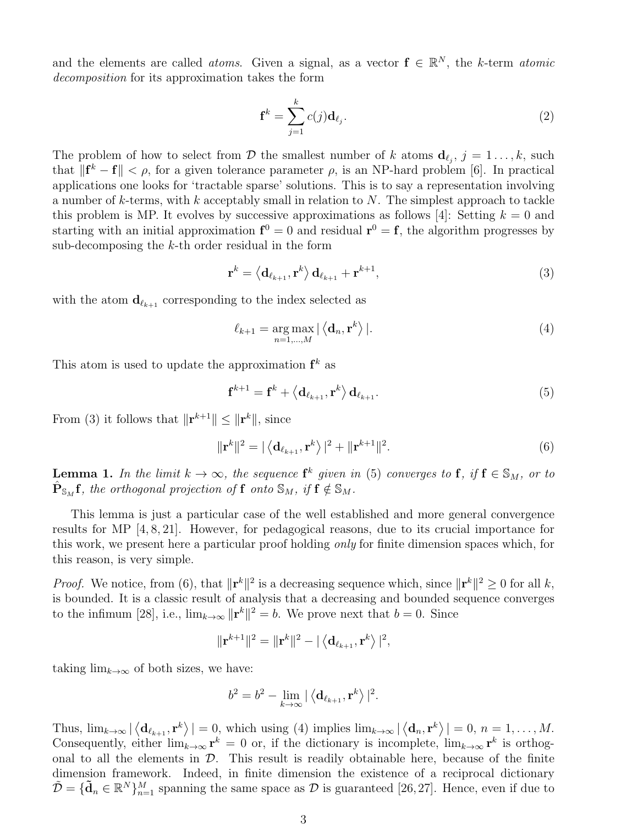and the elements are called *atoms*. Given a signal, as a vector  $f \in \mathbb{R}^N$ , the k-term *atomic* decomposition for its approximation takes the form

$$
\mathbf{f}^k = \sum_{j=1}^k c(j) \mathbf{d}_{\ell_j}.
$$
 (2)

The problem of how to select from D the smallest number of k atoms  $\mathbf{d}_{\ell_j}$ ,  $j = 1 \ldots, k$ , such that  $\|\mathbf{f}^k - \mathbf{f}\| < \rho$ , for a given tolerance parameter  $\rho$ , is an NP-hard problem [6]. In practical applications one looks for 'tractable sparse' solutions. This is to say a representation involving a number of  $k$ -terms, with  $k$  acceptably small in relation to  $N$ . The simplest approach to tackle this problem is MP. It evolves by successive approximations as follows [4]: Setting  $k = 0$  and starting with an initial approximation  $f^0 = 0$  and residual  $r^0 = f$ , the algorithm progresses by sub-decomposing the k-th order residual in the form

$$
\mathbf{r}^{k} = \left\langle \mathbf{d}_{\ell_{k+1}}, \mathbf{r}^{k} \right\rangle \mathbf{d}_{\ell_{k+1}} + \mathbf{r}^{k+1},\tag{3}
$$

with the atom  $\mathbf{d}_{\ell_{k+1}}$  corresponding to the index selected as

$$
\ell_{k+1} = \underset{n=1,\dots,M}{\arg \max} |\langle \mathbf{d}_n, \mathbf{r}^k \rangle|. \tag{4}
$$

This atom is used to update the approximation  $f^k$  as

$$
\mathbf{f}^{k+1} = \mathbf{f}^k + \langle \mathbf{d}_{\ell_{k+1}}, \mathbf{r}^k \rangle \mathbf{d}_{\ell_{k+1}}.
$$
 (5)

From (3) it follows that  $\|\mathbf{r}^{k+1}\| \leq \|\mathbf{r}^{k}\|$ , since

$$
\|\mathbf{r}^{k}\|^{2} = |\langle \mathbf{d}_{\ell_{k+1}}, \mathbf{r}^{k} \rangle|^{2} + \|\mathbf{r}^{k+1}\|^{2}.
$$
 (6)

**Lemma 1.** In the limit  $k \to \infty$ , the sequence  $f^k$  given in (5) converges to f, if  $f \in S_M$ , or to  $\hat{\mathbf{P}}_{\mathbb{S}_M} \mathbf{f}$ , the orthogonal projection of  $\mathbf{f}$  onto  $\mathbb{S}_M$ , if  $\mathbf{f} \notin \mathbb{S}_M$ .

This lemma is just a particular case of the well established and more general convergence results for MP [4, 8, 21]. However, for pedagogical reasons, due to its crucial importance for this work, we present here a particular proof holding only for finite dimension spaces which, for this reason, is very simple.

*Proof.* We notice, from (6), that  $\|\mathbf{r}^k\|^2$  is a decreasing sequence which, since  $\|\mathbf{r}^k\|^2 \geq 0$  for all k, is bounded. It is a classic result of analysis that a decreasing and bounded sequence converges to the infimum [28], i.e.,  $\lim_{k\to\infty} ||\mathbf{r}^k||^2 = b$ . We prove next that  $b = 0$ . Since

$$
\|\mathbf{r}^{k+1}\|^2 = \|\mathbf{r}^k\|^2 - |\langle \mathbf{d}_{\ell_{k+1}}, \mathbf{r}^k \rangle|^2,
$$

taking  $\lim_{k\to\infty}$  of both sizes, we have:

$$
b^2 = b^2 - \lim_{k \to \infty} |\langle \mathbf{d}_{\ell_{k+1}}, \mathbf{r}^k \rangle|^2.
$$

Thus,  $\lim_{k\to\infty} |\langle \mathbf{d}_{\ell_{k+1}}, \mathbf{r}^k \rangle| = 0$ , which using (4) implies  $\lim_{k\to\infty} |\langle \mathbf{d}_n, \mathbf{r}^k \rangle| = 0$ ,  $n = 1, ..., M$ . Consequently, either  $\lim_{k\to\infty} \mathbf{r}^k = 0$  or, if the dictionary is incomplete,  $\lim_{k\to\infty} \mathbf{r}^k$  is orthogonal to all the elements in  $D$ . This result is readily obtainable here, because of the finite dimension framework. Indeed, in finite dimension the existence of a reciprocal dictionary  $\tilde{\mathcal{D}} = \{\tilde{\mathbf{d}}_n \in \mathbb{R}^N\}_{n=1}^M$  spanning the same space as  $\mathcal{D}$  is guaranteed [26, 27]. Hence, even if due to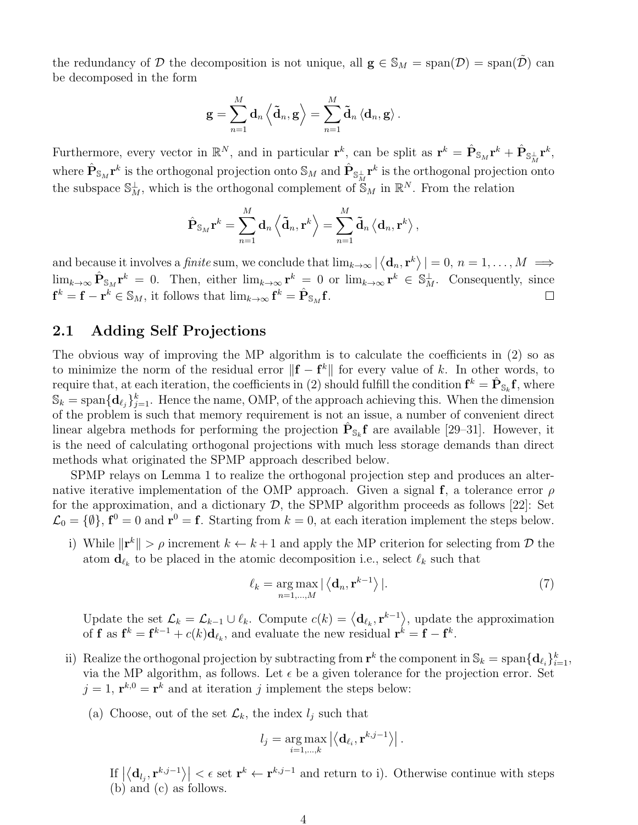the redundancy of D the decomposition is not unique, all  $\mathbf{g} \in \mathbb{S}_M = \text{span}(\mathcal{D}) = \text{span}(\tilde{\mathcal{D}})$  can be decomposed in the form

$$
\mathbf{g} = \sum_{n=1}^M \mathbf{d}_n \left\langle \tilde{\mathbf{d}}_n, \mathbf{g} \right\rangle = \sum_{n=1}^M \tilde{\mathbf{d}}_n \left\langle \mathbf{d}_n, \mathbf{g} \right\rangle.
$$

Furthermore, every vector in  $\mathbb{R}^N$ , and in particular  $\mathbf{r}^k$ , can be split as  $\mathbf{r}^k = \hat{\mathbf{P}}_{\mathbb{S}_M}\mathbf{r}^k + \hat{\mathbf{P}}_{\mathbb{S}_M^\perp}\mathbf{r}^k$ , where  $\hat{P}_{\mathbb{S}_M}$   $\mathbf{r}^k$  is the orthogonal projection onto  $\mathbb{S}_M$  and  $\hat{P}_{\mathbb{S}_M^\perp}$   $\mathbf{r}^k$  is the orthogonal projection onto the subspace  $\mathbb{S}_M^{\perp}$ , which is the orthogonal complement of  $\mathbb{S}_M$  in  $\mathbb{R}^N$ . From the relation

$$
\hat{\mathbf{P}}_{\mathbb{S}_M}\mathbf{r}^k = \sum_{n=1}^M \mathbf{d}_n \left\langle \tilde{\mathbf{d}}_n, \mathbf{r}^k \right\rangle = \sum_{n=1}^M \tilde{\mathbf{d}}_n \left\langle \mathbf{d}_n, \mathbf{r}^k \right\rangle,
$$

and because it involves a *finite* sum, we conclude that  $\lim_{k\to\infty} |\langle \mathbf{d}_n, \mathbf{r}^k \rangle| = 0, n = 1, ..., M \implies$  $\lim_{k\to\infty} \hat{\mathbf{P}}_{\mathbb{S}_M} \mathbf{r}^k = 0$ . Then, either  $\lim_{k\to\infty} \mathbf{r}^k = 0$  or  $\lim_{k\to\infty} \mathbf{r}^k \in \mathbb{S}_M^{\perp}$ . Consequently, since  $\mathbf{f}^k = \mathbf{f} - \mathbf{r}^k \in \mathbb{S}_M$ , it follows that  $\lim_{k \to \infty} \mathbf{f}^k = \hat{\mathbf{P}}_{\mathbb{S}_M} \mathbf{f}$ .

### 2.1 Adding Self Projections

The obvious way of improving the MP algorithm is to calculate the coefficients in (2) so as to minimize the norm of the residual error  $\|\mathbf{f} - \mathbf{f}^k\|$  for every value of k. In other words, to require that, at each iteration, the coefficients in (2) should fulfill the condition  $f^k = \hat{P}_{\mathbb{S}_k} f$ , where  $\mathbb{S}_k = \text{span} \{\mathbf{d}_{\ell_j}\}_{j=1}^k$ . Hence the name, OMP, of the approach achieving this. When the dimension of the problem is such that memory requirement is not an issue, a number of convenient direct linear algebra methods for performing the projection  $\hat{P}_{s_k}f$  are available [29–31]. However, it is the need of calculating orthogonal projections with much less storage demands than direct methods what originated the SPMP approach described below.

SPMP relays on Lemma 1 to realize the orthogonal projection step and produces an alternative iterative implementation of the OMP approach. Given a signal f, a tolerance error  $\rho$ for the approximation, and a dictionary  $D$ , the SPMP algorithm proceeds as follows [22]: Set  $\mathcal{L}_0 = \{\emptyset\}, \mathbf{f}^0 = 0$  and  $\mathbf{r}^0 = \mathbf{f}$ . Starting from  $k = 0$ , at each iteration implement the steps below.

i) While  $\|\mathbf{r}^k\| > \rho$  increment  $k \leftarrow k+1$  and apply the MP criterion for selecting from  $\mathcal{D}$  the atom  $\mathbf{d}_{\ell_k}$  to be placed in the atomic decomposition i.e., select  $\ell_k$  such that

$$
\ell_k = \underset{n=1,\dots,M}{\arg \max} |\langle \mathbf{d}_n, \mathbf{r}^{k-1} \rangle|. \tag{7}
$$

Update the set  $\mathcal{L}_k = \mathcal{L}_{k-1} \cup \ell_k$ . Compute  $c(k) = \langle \mathbf{d}_{\ell_k}, \mathbf{r}^{k-1} \rangle$ , update the approximation of **f** as  $f^k = f^{k-1} + c(k)d_{\ell_k}$ , and evaluate the new residual  $r^k = f - f^k$ .

- ii) Realize the orthogonal projection by subtracting from  $\mathbf{r}^k$  the component in  $\mathbb{S}_k = \text{span}\{\mathbf{d}_{\ell_i}\}_{i=1}^k$ , via the MP algorithm, as follows. Let  $\epsilon$  be a given tolerance for the projection error. Set  $j = 1$ ,  $\mathbf{r}^{k,0} = \mathbf{r}^k$  and at iteration j implement the steps below:
	- (a) Choose, out of the set  $\mathcal{L}_k$ , the index  $l_j$  such that

$$
l_j = \underset{i=1,\dots,k}{\arg \max} \left| \left\langle \mathbf{d}_{\ell_i}, \mathbf{r}^{k,j-1} \right\rangle \right|.
$$

If  $\left|\langle \mathbf{d}_{l_j}, \mathbf{r}^{k,j-1} \rangle \right| \leq \epsilon$  set  $\mathbf{r}^k \leftarrow \mathbf{r}^{k,j-1}$  and return to i). Otherwise continue with steps (b) and (c) as follows.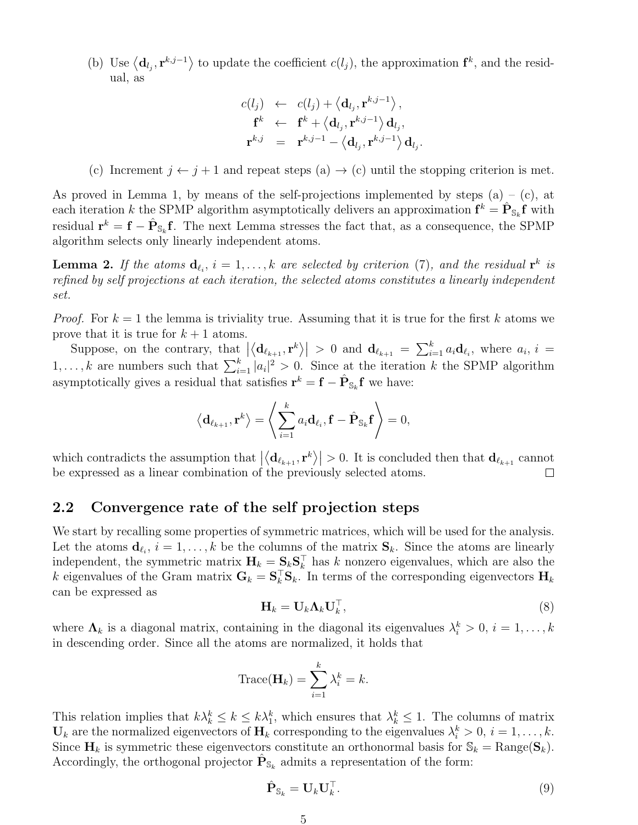(b) Use  $\langle \mathbf{d}_{l_j}, \mathbf{r}^{k,j-1} \rangle$  to update the coefficient  $c(l_j)$ , the approximation  $\mathbf{f}^k$ , and the residual, as

$$
c(l_j) \leftarrow c(l_j) + \left\langle \mathbf{d}_{l_j}, \mathbf{r}^{k,j-1} \right\rangle, \n\mathbf{f}^k \leftarrow \mathbf{f}^k + \left\langle \mathbf{d}_{l_j}, \mathbf{r}^{k,j-1} \right\rangle \mathbf{d}_{l_j}, \n\mathbf{r}^{k,j} = \mathbf{r}^{k,j-1} - \left\langle \mathbf{d}_{l_j}, \mathbf{r}^{k,j-1} \right\rangle \mathbf{d}_{l_j}
$$

.

(c) Increment  $j \leftarrow j + 1$  and repeat steps  $(a) \rightarrow (c)$  until the stopping criterion is met.

As proved in Lemma 1, by means of the self-projections implemented by steps  $(a) - (c)$ , at each iteration k the SPMP algorithm asymptotically delivers an approximation  $f^k = \hat{P}_{\mathbb{S}_k} f$  with residual  $\mathbf{r}^k = \mathbf{f} - \hat{\mathbf{P}}_{\mathbb{S}_k} \mathbf{f}$ . The next Lemma stresses the fact that, as a consequence, the SPMP algorithm selects only linearly independent atoms.

**Lemma 2.** If the atoms  $\mathbf{d}_{\ell_i}$ ,  $i = 1, \ldots, k$  are selected by criterion (7), and the residual  $\mathbf{r}^k$  is refined by self projections at each iteration, the selected atoms constitutes a linearly independent set.

*Proof.* For  $k = 1$  the lemma is triviality true. Assuming that it is true for the first k atoms we prove that it is true for  $k + 1$  atoms.

Suppose, on the contrary, that  $|\langle \mathbf{d}_{\ell_{k+1}}, \mathbf{r}^k \rangle| > 0$  and  $\mathbf{d}_{\ell_{k+1}} = \sum_{i=1}^k a_i \mathbf{d}_{\ell_i}$ , where  $a_i, i =$  $1, \ldots, k$  are numbers such that  $\sum_{i=1}^{k} |a_i|^2 > 0$ . Since at the iteration k the SPMP algorithm asymptotically gives a residual that satisfies  $\mathbf{r}^k = \mathbf{f} - \hat{\mathbf{P}}_{\mathbb{S}_k} \mathbf{f}$  we have:

$$
\langle \mathbf{d}_{\ell_{k+1}}, \mathbf{r}^k \rangle = \left\langle \sum_{i=1}^k a_i \mathbf{d}_{\ell_i}, \mathbf{f} - \hat{\mathbf{P}}_{\mathbb{S}_k} \mathbf{f} \right\rangle = 0,
$$

which contradicts the assumption that  $|\langle \mathbf{d}_{\ell_{k+1}}, \mathbf{r}^k \rangle| > 0$ . It is concluded then that  $\mathbf{d}_{\ell_{k+1}}$  cannot be expressed as a linear combination of the previously selected atoms.

#### 2.2 Convergence rate of the self projection steps

We start by recalling some properties of symmetric matrices, which will be used for the analysis. Let the atoms  $\mathbf{d}_{\ell_i}$ ,  $i = 1, \ldots, k$  be the columns of the matrix  $\mathbf{S}_k$ . Since the atoms are linearly independent, the symmetric matrix  $\mathbf{H}_k = \mathbf{S}_k \mathbf{S}_k^{\top}$  has k nonzero eigenvalues, which are also the k eigenvalues of the Gram matrix  $G_k = S_k^{\top} S_k$ . In terms of the corresponding eigenvectors  $H_k$ can be expressed as

$$
\mathbf{H}_k = \mathbf{U}_k \mathbf{\Lambda}_k \mathbf{U}_k^\top,\tag{8}
$$

where  $\Lambda_k$  is a diagonal matrix, containing in the diagonal its eigenvalues  $\lambda_i^k > 0$ ,  $i = 1, ..., k$ in descending order. Since all the atoms are normalized, it holds that

$$
\operatorname{Trace}(\mathbf{H}_k) = \sum_{i=1}^k \lambda_i^k = k.
$$

This relation implies that  $k\lambda_k^k \leq k \leq k\lambda_1^k$ , which ensures that  $\lambda_k^k \leq 1$ . The columns of matrix  $\mathbf{U}_k$  are the normalized eigenvectors of  $\mathbf{H}_k$  corresponding to the eigenvalues  $\lambda_i^k > 0$ ,  $i = 1, \ldots, k$ . Since  $\mathbf{H}_k$  is symmetric these eigenvectors constitute an orthonormal basis for  $\mathbb{S}_k = \text{Range}(\mathbf{S}_k)$ . Accordingly, the orthogonal projector  $\hat{P}_{\mathbb{S}_k}$  admits a representation of the form:

$$
\hat{\mathbf{P}}_{\mathbb{S}_k} = \mathbf{U}_k \mathbf{U}_k^\top. \tag{9}
$$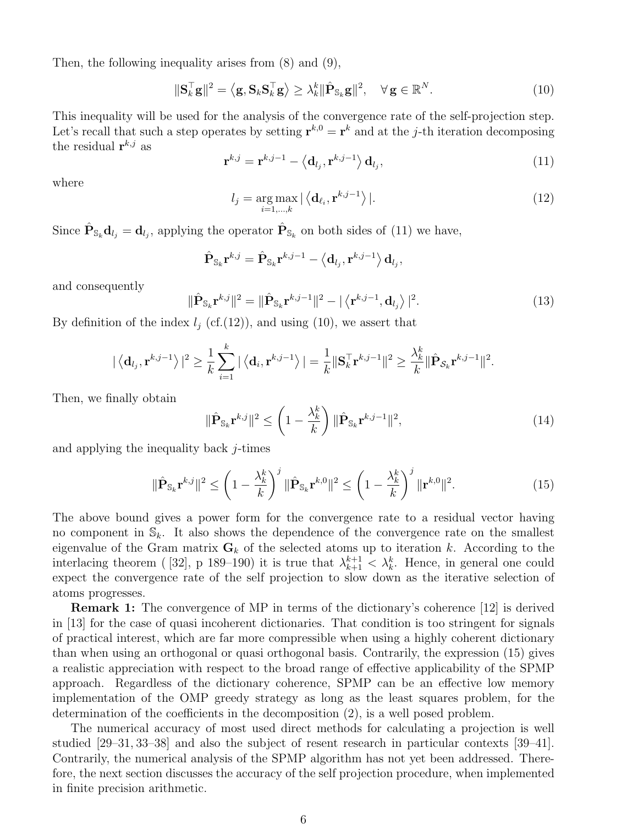Then, the following inequality arises from (8) and (9),

$$
\|\mathbf{S}_k^{\top}\mathbf{g}\|^2 = \left\langle \mathbf{g}, \mathbf{S}_k \mathbf{S}_k^{\top} \mathbf{g} \right\rangle \ge \lambda_k^k \|\hat{\mathbf{P}}_{\mathbb{S}_k} \mathbf{g}\|^2, \quad \forall \mathbf{g} \in \mathbb{R}^N. \tag{10}
$$

This inequality will be used for the analysis of the convergence rate of the self-projection step. Let's recall that such a step operates by setting  $\mathbf{r}^{k,0} = \mathbf{r}^k$  and at the j-th iteration decomposing the residual  $\mathbf{r}^{k,j}$  as

$$
\mathbf{r}^{k,j} = \mathbf{r}^{k,j-1} - \langle \mathbf{d}_{l_j}, \mathbf{r}^{k,j-1} \rangle \mathbf{d}_{l_j},\tag{11}
$$

where

$$
l_j = \underset{i=1,\dots,k}{\arg \max} |\left\langle \mathbf{d}_{\ell_i}, \mathbf{r}^{k,j-1} \right\rangle|. \tag{12}
$$

Since  $\hat{\mathbf{P}}_{\mathbb{S}_k} \mathbf{d}_{l_j} = \mathbf{d}_{l_j}$ , applying the operator  $\hat{\mathbf{P}}_{\mathbb{S}_k}$  on both sides of (11) we have,

$$
\hat{\mathbf{P}}_{\mathbb{S}_k} \mathbf{r}^{k,j} = \hat{\mathbf{P}}_{\mathbb{S}_k} \mathbf{r}^{k,j-1} - \left\langle \mathbf{d}_{l_j}, \mathbf{r}^{k,j-1} \right\rangle \mathbf{d}_{l_j},
$$

and consequently

$$
\|\hat{\mathbf{P}}_{\mathbb{S}_k}\mathbf{r}^{k,j}\|^2 = \|\hat{\mathbf{P}}_{\mathbb{S}_k}\mathbf{r}^{k,j-1}\|^2 - |\langle \mathbf{r}^{k,j-1}, \mathbf{d}_{l_j} \rangle|^2.
$$
 (13)

By definition of the index  $l_i$  (cf.(12)), and using (10), we assert that

$$
|\langle \mathbf{d}_{l_j}, \mathbf{r}^{k,j-1} \rangle|^2 \geq \frac{1}{k} \sum_{i=1}^k |\langle \mathbf{d}_i, \mathbf{r}^{k,j-1} \rangle| = \frac{1}{k} ||\mathbf{S}_k^{\top} \mathbf{r}^{k,j-1}||^2 \geq \frac{\lambda_k^k}{k} ||\hat{\mathbf{P}}_{\mathcal{S}_k} \mathbf{r}^{k,j-1}||^2.
$$

Then, we finally obtain

$$
\|\hat{\mathbf{P}}_{\mathbb{S}_k} \mathbf{r}^{k,j}\|^2 \leq \left(1 - \frac{\lambda_k^k}{k}\right) \|\hat{\mathbf{P}}_{\mathbb{S}_k} \mathbf{r}^{k,j-1}\|^2, \tag{14}
$$

and applying the inequality back j-times

$$
\|\hat{\mathbf{P}}_{\mathbb{S}_k} \mathbf{r}^{k,j}\|^2 \leq \left(1 - \frac{\lambda_k^k}{k}\right)^j \|\hat{\mathbf{P}}_{\mathbb{S}_k} \mathbf{r}^{k,0}\|^2 \leq \left(1 - \frac{\lambda_k^k}{k}\right)^j \|\mathbf{r}^{k,0}\|^2. \tag{15}
$$

The above bound gives a power form for the convergence rate to a residual vector having no component in  $\mathbb{S}_k$ . It also shows the dependence of the convergence rate on the smallest eigenvalue of the Gram matrix  $G_k$  of the selected atoms up to iteration k. According to the interlacing theorem ([32], p 189–190) it is true that  $\lambda_{k+1}^{k+1} < \lambda_k^k$ . Hence, in general one could expect the convergence rate of the self projection to slow down as the iterative selection of atoms progresses.

Remark 1: The convergence of MP in terms of the dictionary's coherence [12] is derived in [13] for the case of quasi incoherent dictionaries. That condition is too stringent for signals of practical interest, which are far more compressible when using a highly coherent dictionary than when using an orthogonal or quasi orthogonal basis. Contrarily, the expression (15) gives a realistic appreciation with respect to the broad range of effective applicability of the SPMP approach. Regardless of the dictionary coherence, SPMP can be an effective low memory implementation of the OMP greedy strategy as long as the least squares problem, for the determination of the coefficients in the decomposition (2), is a well posed problem.

The numerical accuracy of most used direct methods for calculating a projection is well studied [29–31, 33–38] and also the subject of resent research in particular contexts [39–41]. Contrarily, the numerical analysis of the SPMP algorithm has not yet been addressed. Therefore, the next section discusses the accuracy of the self projection procedure, when implemented in finite precision arithmetic.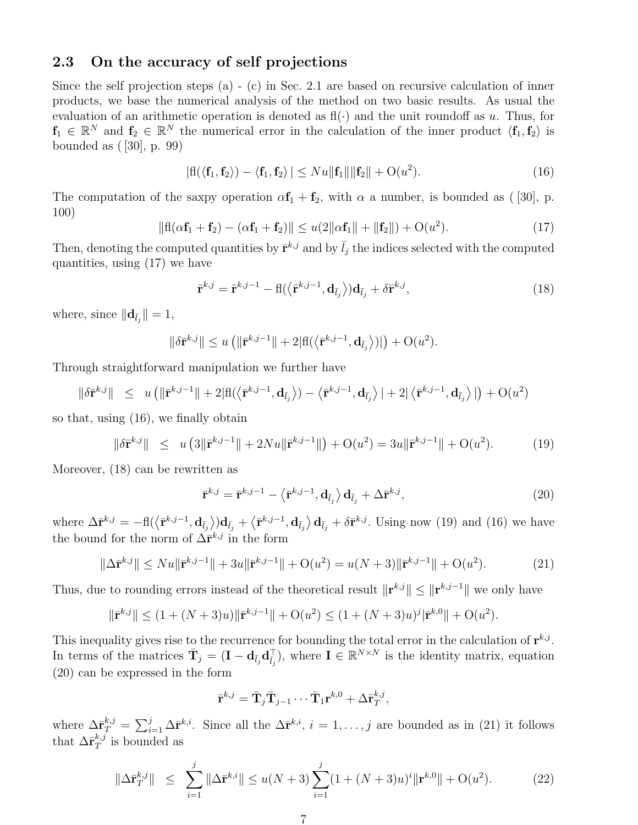### 2.3 On the accuracy of self projections

Since the self projection steps (a) - (c) in Sec. 2.1 are based on recursive calculation of inner products, we base the numerical analysis of the method on two basic results. As usual the evaluation of an arithmetic operation is denoted as  $f(\cdot)$  and the unit roundoff as u. Thus, for  $f_1 \in \mathbb{R}^N$  and  $f_2 \in \mathbb{R}^N$  the numerical error in the calculation of the inner product  $\langle f_1, f_2 \rangle$  is bounded as ( [30], p. 99)

$$
|\mathbf{fl}(\langle \mathbf{f}_1, \mathbf{f}_2 \rangle) - \langle \mathbf{f}_1, \mathbf{f}_2 \rangle| \leq Nu \|\mathbf{f}_1\| \|\mathbf{f}_2\| + O(u^2).
$$
 (16)

The computation of the saxpy operation  $\alpha f_1 + f_2$ , with  $\alpha$  a number, is bounded as ([30], p. 100)

$$
\|\mathbf{f}(\alpha \mathbf{f}_1 + \mathbf{f}_2) - (\alpha \mathbf{f}_1 + \mathbf{f}_2)\| \le u(2\|\alpha \mathbf{f}_1\| + \|\mathbf{f}_2\|) + O(u^2). \tag{17}
$$

Then, denoting the computed quantities by  $\bar{\mathbf{r}}^{k,j}$  and by  $\bar{l}_j$  the indices selected with the computed quantities, using (17) we have

$$
\bar{\mathbf{r}}^{k,j} = \bar{\mathbf{r}}^{k,j-1} - \mathbf{f}(\langle \bar{\mathbf{r}}^{k,j-1}, \mathbf{d}_{\bar{l}_j} \rangle) \mathbf{d}_{\bar{l}_j} + \delta \bar{\mathbf{r}}^{k,j},
$$
\n(18)

where, since  $\|\mathbf{d}_{\bar{l}_j}\| = 1$ ,

$$
\|\delta \bar{\mathbf{r}}^{k,j}\| \leq u \left( \|\bar{\mathbf{r}}^{k,j-1}\| + 2|\mathbf{f}(\langle \bar{\mathbf{r}}^{k,j-1}, \mathbf{d}_{\bar{l}_j} \rangle)| \right) + \mathbf{O}(u^2).
$$

Through straightforward manipulation we further have

$$
\|\delta \bar{\mathbf{r}}^{k,j}\| \leq u \left( \|\bar{\mathbf{r}}^{k,j-1}\| + 2|\mathbf{f}|(\langle \bar{\mathbf{r}}^{k,j-1}, \mathbf{d}_{\bar{l}_j} \rangle) - \langle \bar{\mathbf{r}}^{k,j-1}, \mathbf{d}_{\bar{l}_j} \rangle \,| + 2|\langle \bar{\mathbf{r}}^{k,j-1}, \mathbf{d}_{\bar{l}_j} \rangle|\right) + \mathcal{O}(u^2)
$$

so that, using (16), we finally obtain

$$
\|\delta \bar{\mathbf{r}}^{k,j}\| \leq u\left(3\|\bar{\mathbf{r}}^{k,j-1}\| + 2Nu\|\bar{\mathbf{r}}^{k,j-1}\|\right) + \mathcal{O}(u^2) = 3u\|\bar{\mathbf{r}}^{k,j-1}\| + \mathcal{O}(u^2). \tag{19}
$$

Moreover, (18) can be rewritten as

$$
\bar{\mathbf{r}}^{k,j} = \bar{\mathbf{r}}^{k,j-1} - \left\langle \bar{\mathbf{r}}^{k,j-1}, \mathbf{d}_{\bar{l}_j} \right\rangle \mathbf{d}_{\bar{l}_j} + \Delta \bar{\mathbf{r}}^{k,j},\tag{20}
$$

where  $\Delta \bar{\mathbf{r}}^{k,j} = -\text{fl}(\langle \bar{\mathbf{r}}^{k,j-1}, \mathbf{d}_{\bar{l}_j} \rangle) \mathbf{d}_{\bar{l}_j} + \langle \bar{\mathbf{r}}^{k,j-1}, \mathbf{d}_{\bar{l}_j} \rangle \mathbf{d}_{\bar{l}_j} + \delta \bar{\mathbf{r}}^{k,j}$ . Using now (19) and (16) we have the bound for the norm of  $\Delta \bar{\mathbf{r}}^{k,j}$  in the form

$$
\|\Delta \bar{\mathbf{r}}^{k,j}\| \le N u \|\bar{\mathbf{r}}^{k,j-1}\| + 3u \|\bar{\mathbf{r}}^{k,j-1}\| + O(u^2) = u(N+3) \|\bar{\mathbf{r}}^{k,j-1}\| + O(u^2). \tag{21}
$$

Thus, due to rounding errors instead of the theoretical result  $\|\mathbf{r}^{k,j}\| \leq \|\mathbf{r}^{k,j-1}\|$  we only have

$$
\|\bar{\mathbf{r}}^{k,j}\| \le (1 + (N+3)u) \|\bar{\mathbf{r}}^{k,j-1}\| + O(u^2) \le (1 + (N+3)u)^j |\bar{\mathbf{r}}^{k,0}\| + O(u^2).
$$

This inequality gives rise to the recurrence for bounding the total error in the calculation of  $\mathbf{r}^{k,j}$ . In terms of the matrices  $\bar{\mathbf{T}}_j = (\mathbf{I} - \mathbf{d}_{\bar{l}_j} \mathbf{d}_{\bar{l}_j}^{\top})$ , where  $\mathbf{I} \in \mathbb{R}^{N \times N}$  is the identity matrix, equation (20) can be expressed in the form

$$
\bar{\mathbf{r}}^{k,j}=\bar{\mathbf{T}}_j\bar{\mathbf{T}}_{j-1}\cdots \bar{\mathbf{T}}_1\mathbf{r}^{k,0}+\Delta\bar{\mathbf{r}}_T^{k,j},
$$

where  $\Delta \bar{\mathbf{r}}_T^{k,j} = \sum_{i=1}^j \Delta \bar{\mathbf{r}}^{k,i}$ . Since all the  $\Delta \bar{\mathbf{r}}^{k,i}$ ,  $i = 1,\ldots,j$  are bounded as in (21) it follows that  $\Delta \bar{\mathbf{r}}_T^{k,j}$  $_{T}^{\kappa,j}$  is bounded as

$$
\|\Delta \bar{\mathbf{r}}_T^{k,j}\| \leq \sum_{i=1}^j \|\Delta \bar{\mathbf{r}}^{k,i}\| \leq u(N+3) \sum_{i=1}^j (1+(N+3)u)^i \|\mathbf{r}^{k,0}\| + \mathcal{O}(u^2). \tag{22}
$$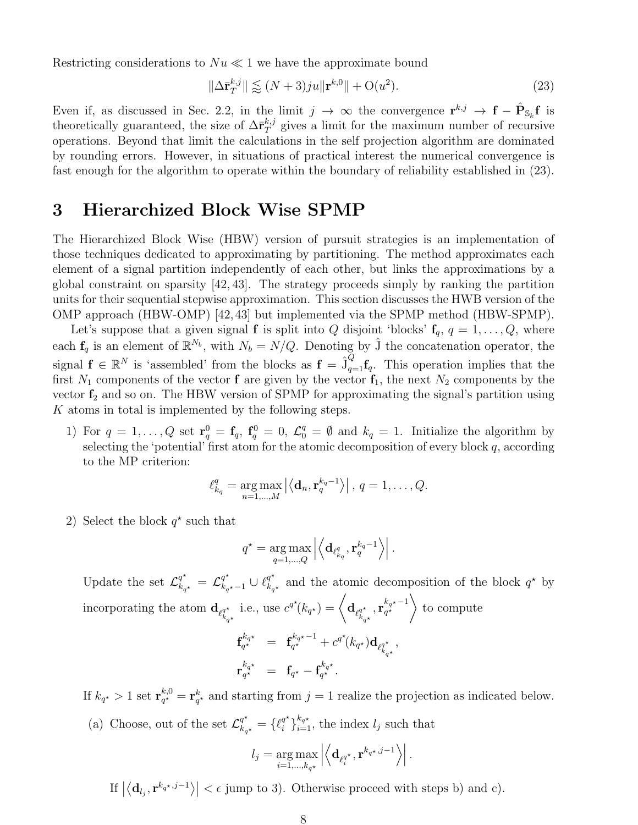Restricting considerations to  $Nu \ll 1$  we have the approximate bound

$$
\|\Delta \bar{\mathbf{r}}_T^{k,j}\| \lessapprox (N+3)ju \|\mathbf{r}^{k,0}\| + \mathcal{O}(u^2). \tag{23}
$$

Even if, as discussed in Sec. 2.2, in the limit  $j \to \infty$  the convergence  $\mathbf{r}^{k,j} \to \mathbf{f} - \hat{\mathbf{P}}_{\mathbb{S}_k} \mathbf{f}$  is theoretically guaranteed, the size of  $\Delta \bar{\mathbf{r}}_T^{k,j}$  $T_T^{k,j}$  gives a limit for the maximum number of recursive operations. Beyond that limit the calculations in the self projection algorithm are dominated by rounding errors. However, in situations of practical interest the numerical convergence is fast enough for the algorithm to operate within the boundary of reliability established in (23).

## 3 Hierarchized Block Wise SPMP

The Hierarchized Block Wise (HBW) version of pursuit strategies is an implementation of those techniques dedicated to approximating by partitioning. The method approximates each element of a signal partition independently of each other, but links the approximations by a global constraint on sparsity [42, 43]. The strategy proceeds simply by ranking the partition units for their sequential stepwise approximation. This section discusses the HWB version of the OMP approach (HBW-OMP) [42,43] but implemented via the SPMP method (HBW-SPMP).

Let's suppose that a given signal **f** is split into Q disjoint 'blocks'  $f_q$ ,  $q = 1, \ldots, Q$ , where each  $f_q$  is an element of  $\mathbb{R}^{N_b}$ , with  $N_b = N/Q$ . Denoting by  $\hat{J}$  the concatenation operator, the signal  $f \in \mathbb{R}^N$  is 'assembled' from the blocks as  $f = \hat{J}_{q=1}^Q f_q$ . This operation implies that the first  $N_1$  components of the vector **f** are given by the vector  $\mathbf{f}_1$ , the next  $N_2$  components by the vector  $f_2$  and so on. The HBW version of SPMP for approximating the signal's partition using K atoms in total is implemented by the following steps.

1) For  $q = 1, \ldots, Q$  set  $\mathbf{r}_q^0 = \mathbf{f}_q$ ,  $\mathbf{f}_q^0 = 0$ ,  $\mathcal{L}_q^q = \emptyset$  and  $k_q = 1$ . Initialize the algorithm by selecting the 'potential' first atom for the atomic decomposition of every block  $q$ , according to the MP criterion:

$$
\ell_{k_q}^q = \underset{n=1,\ldots,M}{\arg \max} \left| \left\langle \mathbf{d}_n, \mathbf{r}_q^{k_q-1} \right\rangle \right|, q=1,\ldots,Q.
$$

2) Select the block  $q^*$  such that

$$
q^\star = \argmax_{q=1,\ldots,Q} \left| \left\langle \mathbf{d}_{\ell_{k_q}^q}, \mathbf{r}_q^{k_q-1} \right\rangle \right|.
$$

Update the set  $\mathcal{L}^{q^*}_{k_{q^*}} = \mathcal{L}^{q^*}_{k_{q^*}-1} \cup \ell^{q^*}_{k_{q^*}}$  $\frac{q^*}{k_{q^*}}$  and the atomic decomposition of the block  $q^*$  by incorporating the atom  $\mathbf{d}_{\ell_k^{q^{\star}}}$  $k_{q}$ \* i.e., use  $c^{q^*}(k_{q^*}) = \begin{cases} \mathbf{d}_{\ell_1^{q^*}} \end{cases}$  $k_{q}$ \*  $,\mathbf{r}_{a^\star}^{k_{q^\star}-1}$  $\begin{pmatrix} k_{q^{\star}}-1\\ q^{\star} \end{pmatrix}$ to compute

$$
\begin{array}{rcl}\n\mathbf{f}_{q^{\star}}^{k_{q^{\star}}} & = & \mathbf{f}_{q^{\star}}^{k_{q^{\star}}-1} + c^{q^{\star}}(k_{q^{\star}})\mathbf{d}_{\ell_{k_{q^{\star}}}^{q^{\star}}} \\
\mathbf{r}_{q^{\star}}^{k_{q^{\star}}} & = & \mathbf{f}_{q^{\star}} - \mathbf{f}_{q^{\star}}^{k_{q^{\star}}}.\n\end{array}
$$

,

If  $k_{q^{\star}}>1$  set  $\mathbf{r}_{q^{\star}}^{k,0}$  $q_{q*}^{k,0} = \mathbf{r}_{q*}^k$  and starting from  $j = 1$  realize the projection as indicated below. (a) Choose, out of the set  $\mathcal{L}^{q^{\star}}_{k_{q^{\star}}} = \{\ell^{q^{\star}}_i$  $\binom{q^*}{i}$ <sub> $i=1$ </sub>, the index  $l_j$  such that

$$
l_j = \argmax_{i=1,\ldots,k_{a^\star}} \left| \left\langle \mathbf{d}_{\ell_i^{q^\star}},\mathbf{r}^{k_{q^\star},j-1} \right\rangle \right|.
$$

 $_{i=1,...,k_{q^{\star}}}$ 

If  $\left|\langle \mathbf{d}_{l_j}, \mathbf{r}^{k_q \star, j-1} \rangle \right| < \epsilon$  jump to 3). Otherwise proceed with steps b) and c).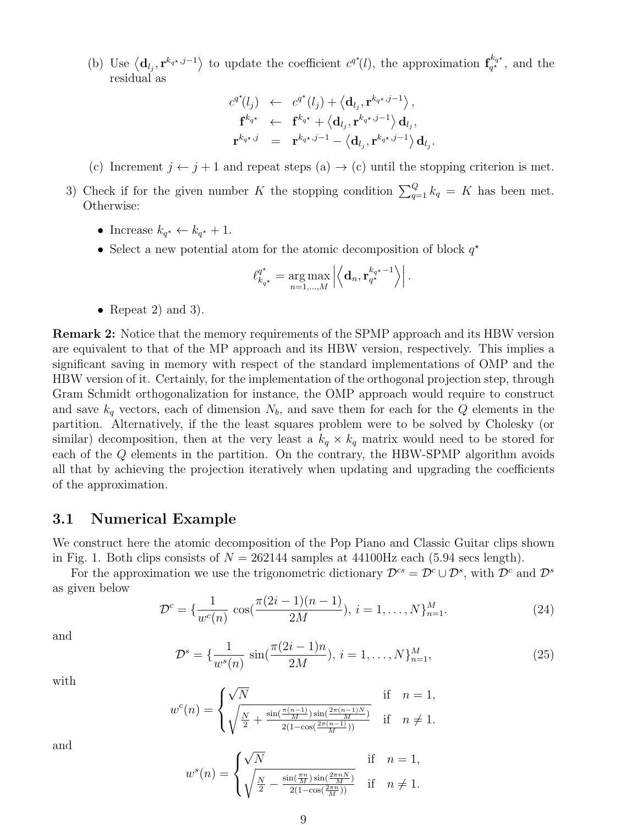(b) Use  $\langle \mathbf{d}_{l_j}, \mathbf{r}^{k_q \star, j-1} \rangle$  to update the coefficient  $c^{q^*}(l)$ , the approximation  $\mathbf{f}_{q^*}^{k_q \star}$  $q^{\star q \star}_{q^{\star}}$ , and the residual as

$$
c^{q^*}(l_j) \leftarrow c^{q^*}(l_j) + \left\langle \mathbf{d}_{l_j}, \mathbf{r}^{k_{q^*}, j-1} \right\rangle, \n\mathbf{f}^{k_{q^*}} \leftarrow \mathbf{f}^{k_{q^*}} + \left\langle \mathbf{d}_{l_j}, \mathbf{r}^{k_{q^*}, j-1} \right\rangle \mathbf{d}_{l_j}, \n\mathbf{r}^{k_{q^*}, j} = \mathbf{r}^{k_{q^*}, j-1} - \left\langle \mathbf{d}_{l_j}, \mathbf{r}^{k_{q^*}, j-1} \right\rangle \mathbf{d}_{l_j}
$$

.

- (c) Increment  $j \leftarrow j + 1$  and repeat steps (a)  $\rightarrow$  (c) until the stopping criterion is met.
- 3) Check if for the given number K the stopping condition  $\sum_{q=1}^{Q} k_q = K$  has been met. Otherwise:
	- Increase  $k_{q^*} \leftarrow k_{q^*} + 1$ .
	- Select a new potential atom for the atomic decomposition of block  $q^*$

$$
\ell_{k_{q^\star}}^{q^\star} = \arg\max_{n=1,\dots,M} \left| \left\langle \mathbf{d}_n, \mathbf{r}_{q^\star}^{k_{q^\star}-1} \right\rangle \right|.
$$

• Repeat 2) and 3).

Remark 2: Notice that the memory requirements of the SPMP approach and its HBW version are equivalent to that of the MP approach and its HBW version, respectively. This implies a significant saving in memory with respect of the standard implementations of OMP and the HBW version of it. Certainly, for the implementation of the orthogonal projection step, through Gram Schmidt orthogonalization for instance, the OMP approach would require to construct and save  $k_q$  vectors, each of dimension  $N_b$ , and save them for each for the Q elements in the partition. Alternatively, if the the least squares problem were to be solved by Cholesky (or similar) decomposition, then at the very least a  $k_q \times k_q$  matrix would need to be stored for each of the Q elements in the partition. On the contrary, the HBW-SPMP algorithm avoids all that by achieving the projection iteratively when updating and upgrading the coefficients of the approximation.

#### 3.1 Numerical Example

We construct here the atomic decomposition of the Pop Piano and Classic Guitar clips shown in Fig. 1. Both clips consists of  $N = 262144$  samples at 44100Hz each (5.94 secs length).

For the approximation we use the trigonometric dictionary  $\mathcal{D}^{cs} = \mathcal{D}^c \cup \mathcal{D}^s$ , with  $\mathcal{D}^c$  and  $\mathcal{D}^s$ as given below

$$
\mathcal{D}^c = \{ \frac{1}{w^c(n)} \cos(\frac{\pi(2i-1)(n-1)}{2M}), i = 1, \dots, N \}_{n=1}^M.
$$
 (24)

and

$$
\mathcal{D}^s = \{ \frac{1}{w^s(n)} \sin(\frac{\pi(2i-1)n}{2M}), i = 1, ..., N \}_{n=1}^M,
$$
\n(25)

with

$$
w^{c}(n) = \begin{cases} \sqrt{N} & \text{if } n = 1, \\ \sqrt{\frac{N}{2} + \frac{\sin(\frac{\pi(n-1)}{M})\sin(\frac{2\pi(n-1)N}{M})}{2(1 - \cos(\frac{2\pi(n-1)}{M}))}} & \text{if } n \neq 1. \end{cases}
$$

and

$$
w^{s}(n) = \begin{cases} \sqrt{N} & \text{if } n = 1, \\ \sqrt{\frac{N}{2} - \frac{\sin(\frac{\pi n}{M}) \sin(\frac{2\pi n N}{M})}{2(1 - \cos(\frac{2\pi n}{M}))}} & \text{if } n \neq 1. \end{cases}
$$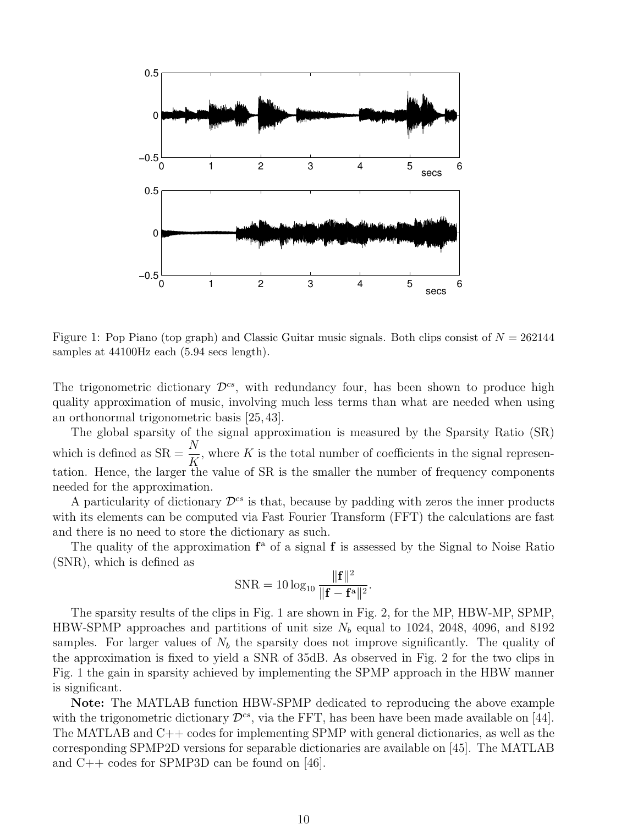

Figure 1: Pop Piano (top graph) and Classic Guitar music signals. Both clips consist of  $N = 262144$ samples at 44100Hz each (5.94 secs length).

The trigonometric dictionary  $\mathcal{D}^{cs}$ , with redundancy four, has been shown to produce high quality approximation of music, involving much less terms than what are needed when using an orthonormal trigonometric basis [25, 43].

The global sparsity of the signal approximation is measured by the Sparsity Ratio (SR) which is defined as  $SR = \frac{N}{V}$ K , where  $K$  is the total number of coefficients in the signal representation. Hence, the larger the value of SR is the smaller the number of frequency components needed for the approximation.

A particularity of dictionary  $\mathcal{D}^{cs}$  is that, because by padding with zeros the inner products with its elements can be computed via Fast Fourier Transform (FFT) the calculations are fast and there is no need to store the dictionary as such.

The quality of the approximation  $f^a$  of a signal f is assessed by the Signal to Noise Ratio (SNR), which is defined as

$$
SNR = 10 \log_{10} \frac{\|\mathbf{f}\|^2}{\|\mathbf{f} - \mathbf{f}^{\mathrm{a}}\|^2}.
$$

The sparsity results of the clips in Fig. 1 are shown in Fig. 2, for the MP, HBW-MP, SPMP, HBW-SPMP approaches and partitions of unit size  $N_b$  equal to 1024, 2048, 4096, and 8192 samples. For larger values of  $N_b$  the sparsity does not improve significantly. The quality of the approximation is fixed to yield a SNR of 35dB. As observed in Fig. 2 for the two clips in Fig. 1 the gain in sparsity achieved by implementing the SPMP approach in the HBW manner is significant.

Note: The MATLAB function HBW-SPMP dedicated to reproducing the above example with the trigonometric dictionary  $\mathcal{D}^{cs}$ , via the FFT, has been have been made available on [44]. The MATLAB and C++ codes for implementing SPMP with general dictionaries, as well as the corresponding SPMP2D versions for separable dictionaries are available on [45]. The MATLAB and C++ codes for SPMP3D can be found on [46].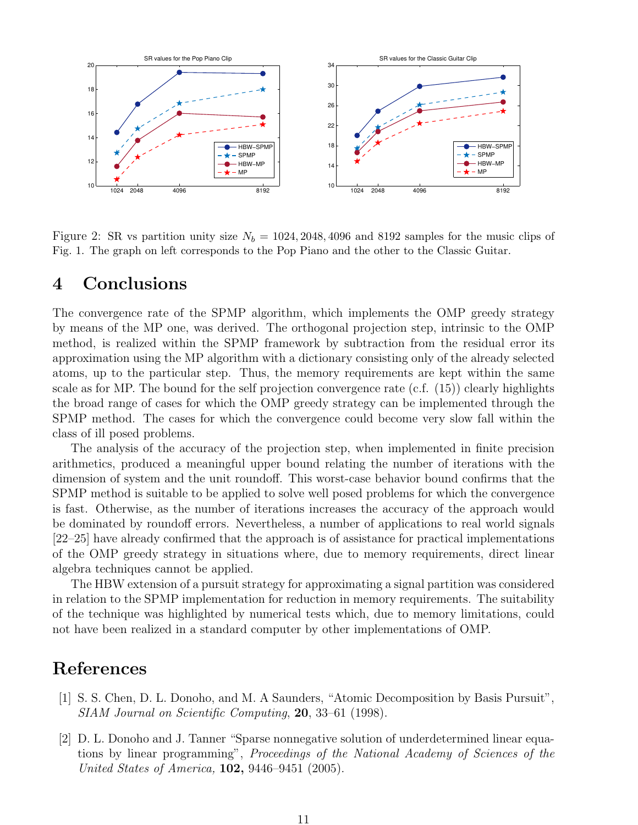

Figure 2: SR vs partition unity size  $N_b = 1024, 2048, 4096$  and 8192 samples for the music clips of Fig. 1. The graph on left corresponds to the Pop Piano and the other to the Classic Guitar.

### 4 Conclusions

The convergence rate of the SPMP algorithm, which implements the OMP greedy strategy by means of the MP one, was derived. The orthogonal projection step, intrinsic to the OMP method, is realized within the SPMP framework by subtraction from the residual error its approximation using the MP algorithm with a dictionary consisting only of the already selected atoms, up to the particular step. Thus, the memory requirements are kept within the same scale as for MP. The bound for the self projection convergence rate (c.f. (15)) clearly highlights the broad range of cases for which the OMP greedy strategy can be implemented through the SPMP method. The cases for which the convergence could become very slow fall within the class of ill posed problems.

The analysis of the accuracy of the projection step, when implemented in finite precision arithmetics, produced a meaningful upper bound relating the number of iterations with the dimension of system and the unit roundoff. This worst-case behavior bound confirms that the SPMP method is suitable to be applied to solve well posed problems for which the convergence is fast. Otherwise, as the number of iterations increases the accuracy of the approach would be dominated by roundoff errors. Nevertheless, a number of applications to real world signals [22–25] have already confirmed that the approach is of assistance for practical implementations of the OMP greedy strategy in situations where, due to memory requirements, direct linear algebra techniques cannot be applied.

The HBW extension of a pursuit strategy for approximating a signal partition was considered in relation to the SPMP implementation for reduction in memory requirements. The suitability of the technique was highlighted by numerical tests which, due to memory limitations, could not have been realized in a standard computer by other implementations of OMP.

# References

- [1] S. S. Chen, D. L. Donoho, and M. A Saunders, "Atomic Decomposition by Basis Pursuit", SIAM Journal on Scientific Computing, 20, 33–61 (1998).
- [2] D. L. Donoho and J. Tanner "Sparse nonnegative solution of underdetermined linear equations by linear programming", Proceedings of the National Academy of Sciences of the United States of America, 102, 9446–9451 (2005).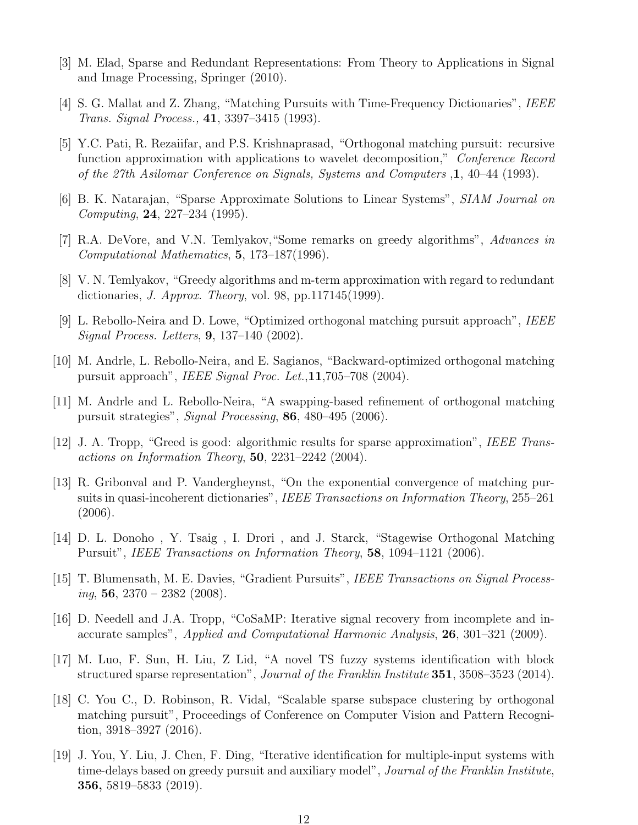- [3] M. Elad, Sparse and Redundant Representations: From Theory to Applications in Signal and Image Processing, Springer (2010).
- [4] S. G. Mallat and Z. Zhang, "Matching Pursuits with Time-Frequency Dictionaries", IEEE Trans. Signal Process., 41, 3397–3415 (1993).
- [5] Y.C. Pati, R. Rezaiifar, and P.S. Krishnaprasad, "Orthogonal matching pursuit: recursive function approximation with applications to wavelet decomposition," Conference Record of the 27th Asilomar Conference on Signals, Systems and Computers ,1, 40–44 (1993).
- [6] B. K. Natarajan, "Sparse Approximate Solutions to Linear Systems", SIAM Journal on Computing, 24, 227–234 (1995).
- [7] R.A. DeVore, and V.N. Temlyakov,"Some remarks on greedy algorithms", Advances in Computational Mathematics, 5, 173–187(1996).
- [8] V. N. Temlyakov, "Greedy algorithms and m-term approximation with regard to redundant dictionaries, J. Approx. Theory, vol. 98, pp.117145(1999).
- [9] L. Rebollo-Neira and D. Lowe, "Optimized orthogonal matching pursuit approach", IEEE Signal Process. Letters, 9, 137–140 (2002).
- [10] M. Andrle, L. Rebollo-Neira, and E. Sagianos, "Backward-optimized orthogonal matching pursuit approach", IEEE Signal Proc. Let.,11,705–708 (2004).
- [11] M. Andrle and L. Rebollo-Neira, "A swapping-based refinement of orthogonal matching pursuit strategies", Signal Processing, 86, 480–495 (2006).
- [12] J. A. Tropp, "Greed is good: algorithmic results for sparse approximation", IEEE Transactions on Information Theory,  $50$ ,  $2231-2242$  (2004).
- [13] R. Gribonval and P. Vandergheynst, "On the exponential convergence of matching pursuits in quasi-incoherent dictionaries", IEEE Transactions on Information Theory, 255-261 (2006).
- [14] D. L. Donoho , Y. Tsaig , I. Drori , and J. Starck, "Stagewise Orthogonal Matching Pursuit", IEEE Transactions on Information Theory, 58, 1094–1121 (2006).
- [15] T. Blumensath, M. E. Davies, "Gradient Pursuits", IEEE Transactions on Signal Process $ing, 56, 2370 - 2382 (2008).$
- [16] D. Needell and J.A. Tropp, "CoSaMP: Iterative signal recovery from incomplete and inaccurate samples", Applied and Computational Harmonic Analysis, 26, 301–321 (2009).
- [17] M. Luo, F. Sun, H. Liu, Z Lid, "A novel TS fuzzy systems identification with block structured sparse representation", Journal of the Franklin Institute 351, 3508–3523 (2014).
- [18] C. You C., D. Robinson, R. Vidal, "Scalable sparse subspace clustering by orthogonal matching pursuit", Proceedings of Conference on Computer Vision and Pattern Recognition, 3918–3927 (2016).
- [19] J. You, Y. Liu, J. Chen, F. Ding, "Iterative identification for multiple-input systems with time-delays based on greedy pursuit and auxiliary model", Journal of the Franklin Institute, 356, 5819–5833 (2019).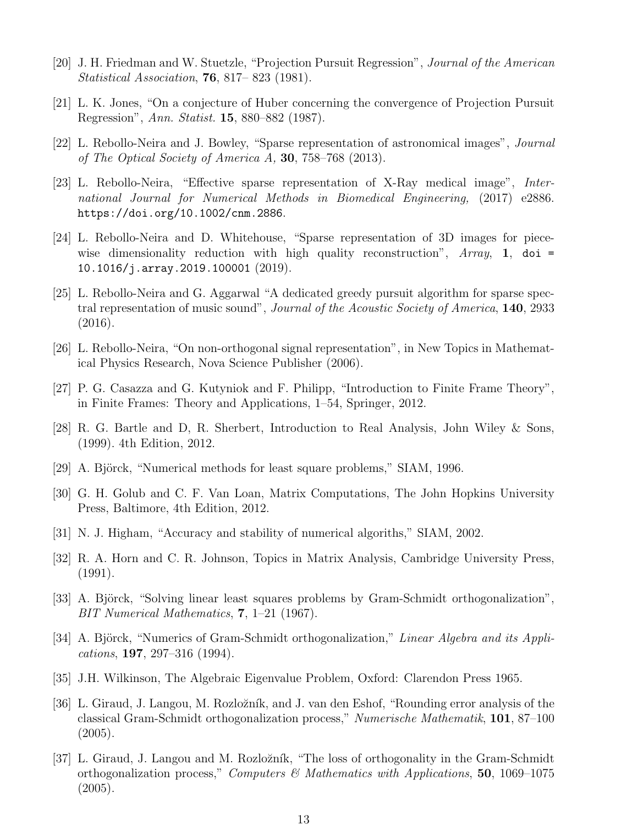- [20] J. H. Friedman and W. Stuetzle, "Projection Pursuit Regression", Journal of the American Statistical Association, 76, 817– 823 (1981).
- [21] L. K. Jones, "On a conjecture of Huber concerning the convergence of Projection Pursuit Regression", Ann. Statist. 15, 880–882 (1987).
- [22] L. Rebollo-Neira and J. Bowley, "Sparse representation of astronomical images", Journal of The Optical Society of America A, 30, 758–768 (2013).
- [23] L. Rebollo-Neira, "Effective sparse representation of X-Ray medical image", International Journal for Numerical Methods in Biomedical Engineering, (2017) e2886. https://doi.org/10.1002/cnm.2886.
- [24] L. Rebollo-Neira and D. Whitehouse, "Sparse representation of 3D images for piecewise dimensionality reduction with high quality reconstruction",  $Array$ , 1, doi = 10.1016/j.array.2019.100001 (2019).
- [25] L. Rebollo-Neira and G. Aggarwal "A dedicated greedy pursuit algorithm for sparse spectral representation of music sound", Journal of the Acoustic Society of America, 140, 2933 (2016).
- [26] L. Rebollo-Neira, "On non-orthogonal signal representation", in New Topics in Mathematical Physics Research, Nova Science Publisher (2006).
- [27] P. G. Casazza and G. Kutyniok and F. Philipp, "Introduction to Finite Frame Theory", in Finite Frames: Theory and Applications, 1–54, Springer, 2012.
- [28] R. G. Bartle and D, R. Sherbert, Introduction to Real Analysis, John Wiley & Sons, (1999). 4th Edition, 2012.
- [29] A. Björck, "Numerical methods for least square problems," SIAM, 1996.
- [30] G. H. Golub and C. F. Van Loan, Matrix Computations, The John Hopkins University Press, Baltimore, 4th Edition, 2012.
- [31] N. J. Higham, "Accuracy and stability of numerical algoriths," SIAM, 2002.
- [32] R. A. Horn and C. R. Johnson, Topics in Matrix Analysis, Cambridge University Press, (1991).
- [33] A. Björck, "Solving linear least squares problems by Gram-Schmidt orthogonalization", BIT Numerical Mathematics, 7, 1–21 (1967).
- [34] A. Björck, "Numerics of Gram-Schmidt orthogonalization," Linear Algebra and its Applications, 197, 297–316 (1994).
- [35] J.H. Wilkinson, The Algebraic Eigenvalue Problem, Oxford: Clarendon Press 1965.
- [36] L. Giraud, J. Langou, M. Rozlo˘zn´ık, and J. van den Eshof, "Rounding error analysis of the classical Gram-Schmidt orthogonalization process," Numerische Mathematik, 101, 87–100 (2005).
- [37] L. Giraud, J. Langou and M. Rozložník, "The loss of orthogonality in the Gram-Schmidt orthogonalization process," Computers  $\mathcal{B}'$  Mathematics with Applications, 50, 1069–1075 (2005).